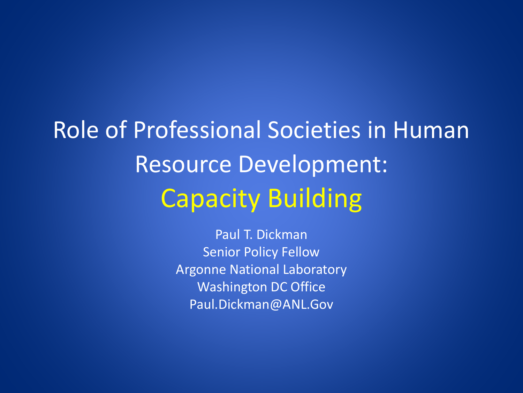Role of Professional Societies in Human Resource Development: Capacity Building

> Paul T. Dickman Senior Policy Fellow Argonne National Laboratory Washington DC Office Paul.Dickman@ANL.Gov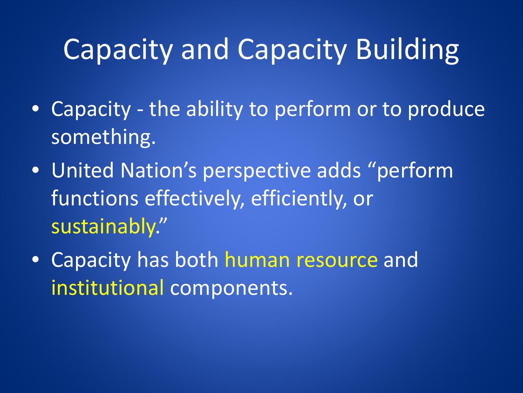## Capacity and Capacity Building

- Capacity the ability to perform or to produce something.
- United Nation's perspective adds "perform functions effectively, efficiently, or sustainably."
- Capacity has both human resource and institutional components.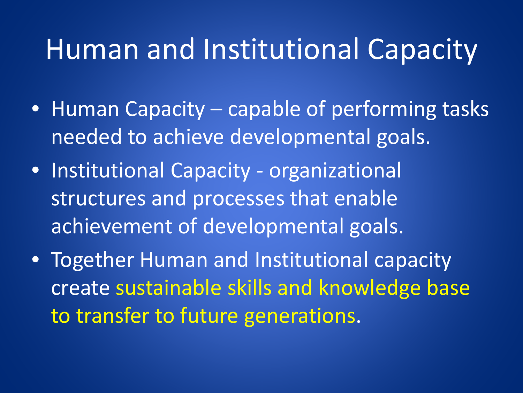#### Human and Institutional Capacity

- Human Capacity capable of performing tasks needed to achieve developmental goals.
- Institutional Capacity organizational structures and processes that enable achievement of developmental goals.
- Together Human and Institutional capacity create sustainable skills and knowledge base to transfer to future generations.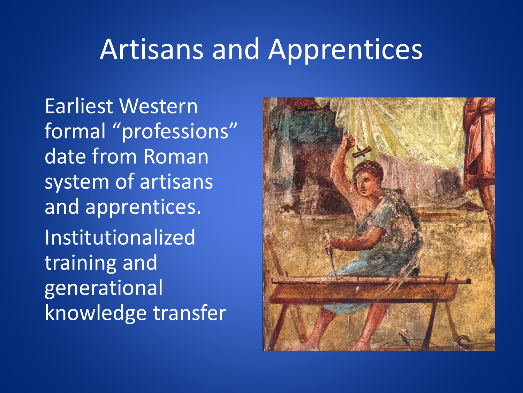#### Artisans and Apprentices

Earliest Western formal "professions" date from Roman system of artisans and apprentices. Institutionalized training and generational knowledge transfer

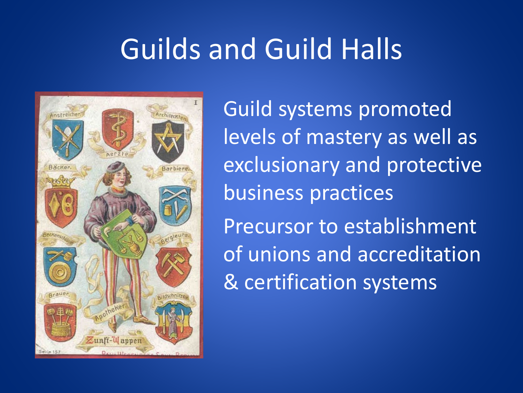# Guilds and Guild Halls



Guild systems promoted levels of mastery as well as exclusionary and protective business practices Precursor to establishment of unions and accreditation & certification systems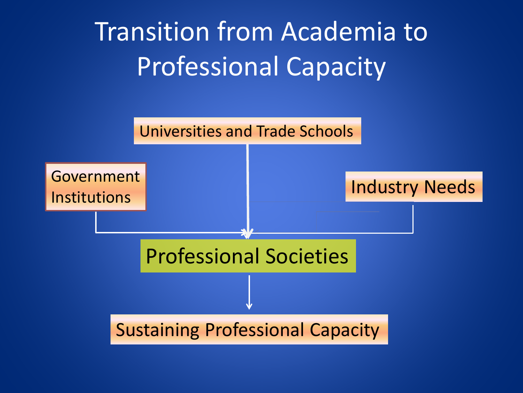# Transition from Academia to Professional Capacity

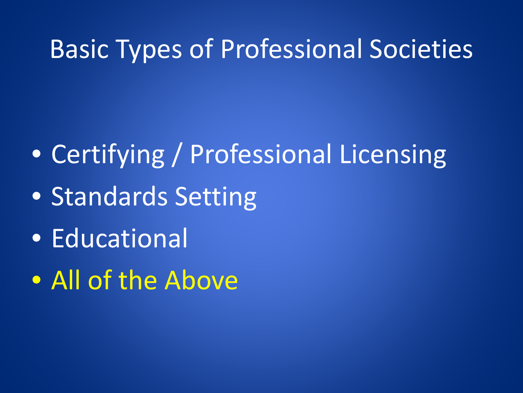#### Basic Types of Professional Societies

- Certifying / Professional Licensing
- Standards Setting
- Educational
- All of the Above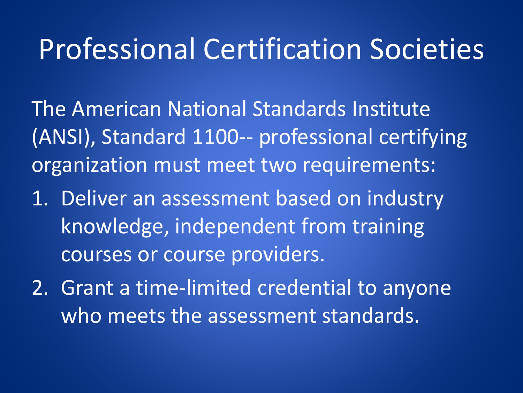#### Professional Certification Societies

The American National Standards Institute (ANSI), Standard 1100-- professional certifying organization must meet two requirements:

- 1. Deliver an assessment based on industry knowledge, independent from training courses or course providers.
- 2. Grant a time-limited credential to anyone who meets the assessment standards.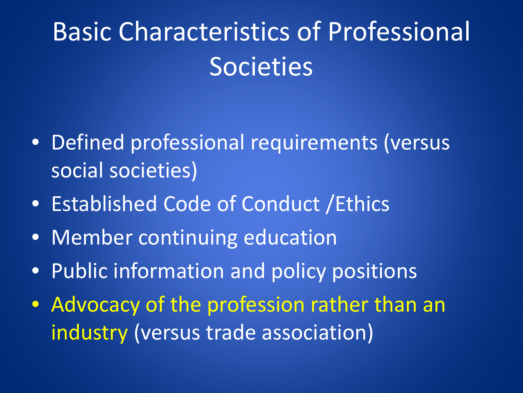# Basic Characteristics of Professional **Societies**

- Defined professional requirements (versus social societies)
- Established Code of Conduct /Ethics
- Member continuing education
- Public information and policy positions
- Advocacy of the profession rather than an industry (versus trade association)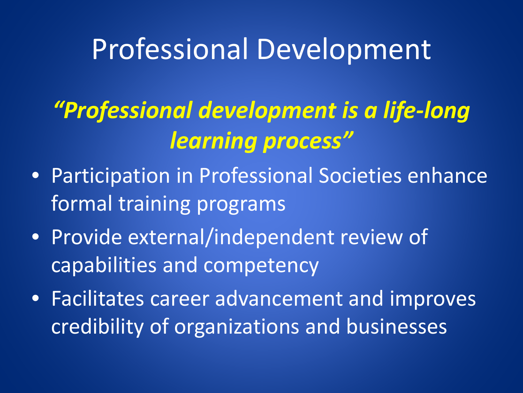#### Professional Development

#### *"Professional development is a life-long learning process"*

- Participation in Professional Societies enhance formal training programs
- Provide external/independent review of capabilities and competency
- Facilitates career advancement and improves credibility of organizations and businesses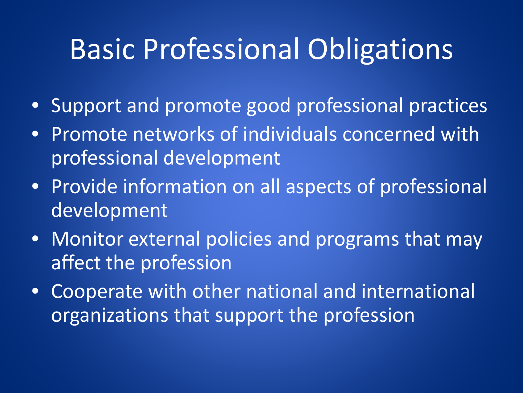## Basic Professional Obligations

- Support and promote good professional practices
- Promote networks of individuals concerned with professional development
- Provide information on all aspects of professional development
- Monitor external policies and programs that may affect the profession
- Cooperate with other national and international organizations that support the profession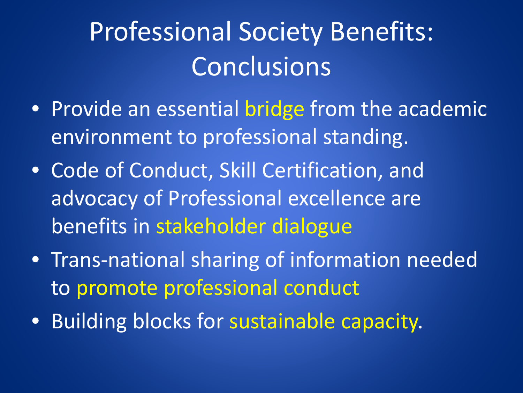# Professional Society Benefits: Conclusions

- Provide an essential bridge from the academic environment to professional standing.
- Code of Conduct, Skill Certification, and advocacy of Professional excellence are benefits in stakeholder dialogue
- Trans-national sharing of information needed to promote professional conduct
- Building blocks for sustainable capacity.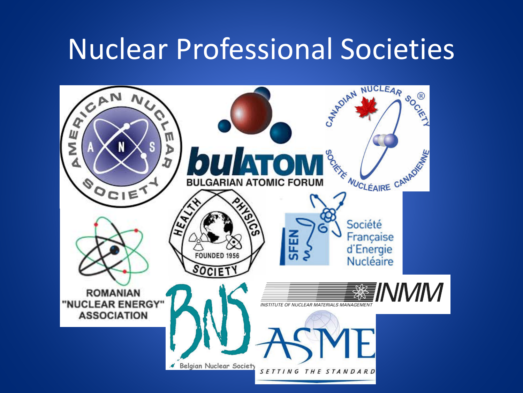## Nuclear Professional Societies

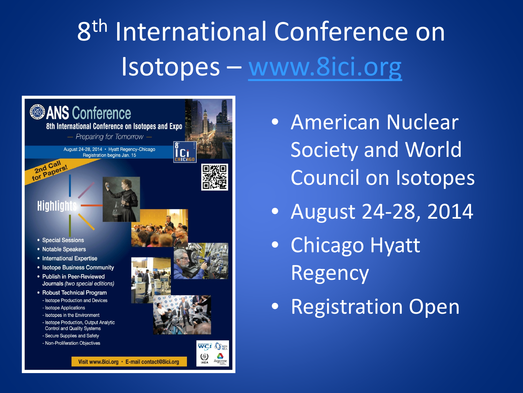# 8<sup>th</sup> International Conference on Isotopes – [www.8ici.org](http://www.8ici.org)



- American Nuclear Society and World Council on Isotopes
- August 24-28, 2014
- Chicago Hyatt Regency
- Registration Open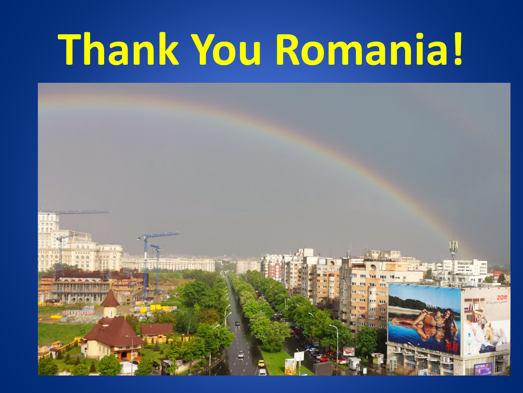# **Thank You Romania!**

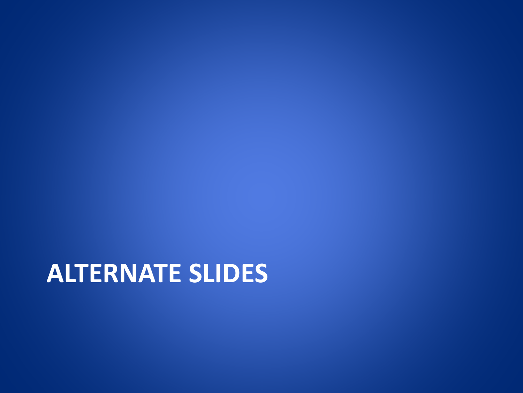#### **ALTERNATE SLIDES**